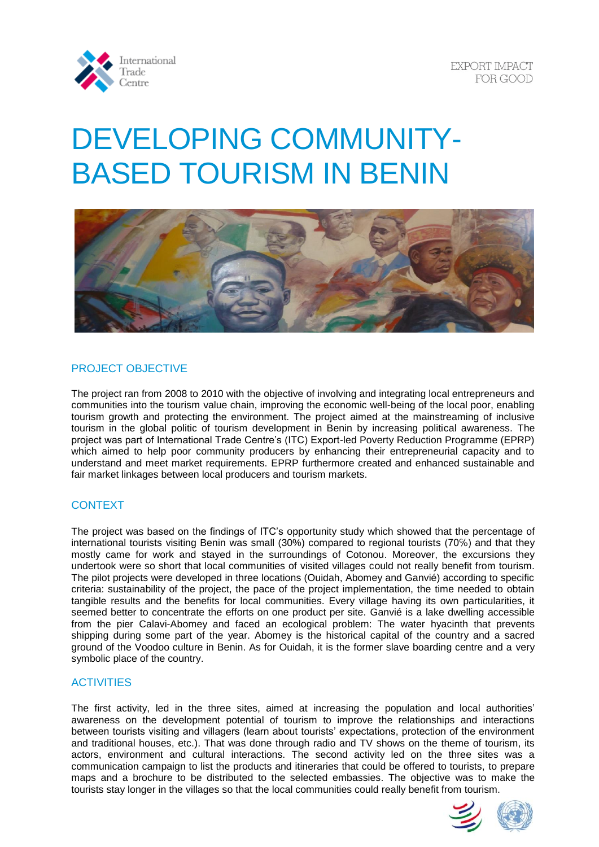

# DEVELOPING COMMUNITY-BASED TOURISM IN BENIN



# PROJECT OBJECTIVE

The project ran from 2008 to 2010 with the objective of involving and integrating local entrepreneurs and communities into the tourism value chain, improving the economic well-being of the local poor, enabling tourism growth and protecting the environment. The project aimed at the mainstreaming of inclusive tourism in the global politic of tourism development in Benin by increasing political awareness. The project was part of International Trade Centre's (ITC) Export-led Poverty Reduction Programme (EPRP) which aimed to help poor community producers by enhancing their entrepreneurial capacity and to understand and meet market requirements. EPRP furthermore created and enhanced sustainable and fair market linkages between local producers and tourism markets.

# **CONTEXT**

The project was based on the findings of ITC's opportunity study which showed that the percentage of international tourists visiting Benin was small (30%) compared to regional tourists (70℅) and that they mostly came for work and stayed in the surroundings of Cotonou. Moreover, the excursions they undertook were so short that local communities of visited villages could not really benefit from tourism. The pilot projects were developed in three locations (Ouidah, Abomey and Ganvié) according to specific criteria: sustainability of the project, the pace of the project implementation, the time needed to obtain tangible results and the benefits for local communities. Every village having its own particularities, it seemed better to concentrate the efforts on one product per site. Ganvié is a lake dwelling accessible from the pier Calavi-Abomey and faced an ecological problem: The water hyacinth that prevents shipping during some part of the year. Abomey is the historical capital of the country and a sacred ground of the Voodoo culture in Benin. As for Ouidah, it is the former slave boarding centre and a very symbolic place of the country.

### **ACTIVITIES**

The first activity, led in the three sites, aimed at increasing the population and local authorities' awareness on the development potential of tourism to improve the relationships and interactions between tourists visiting and villagers (learn about tourists' expectations, protection of the environment and traditional houses, etc.). That was done through radio and TV shows on the theme of tourism, its actors, environment and cultural interactions. The second activity led on the three sites was a communication campaign to list the products and itineraries that could be offered to tourists, to prepare maps and a brochure to be distributed to the selected embassies. The objective was to make the tourists stay longer in the villages so that the local communities could really benefit from tourism.